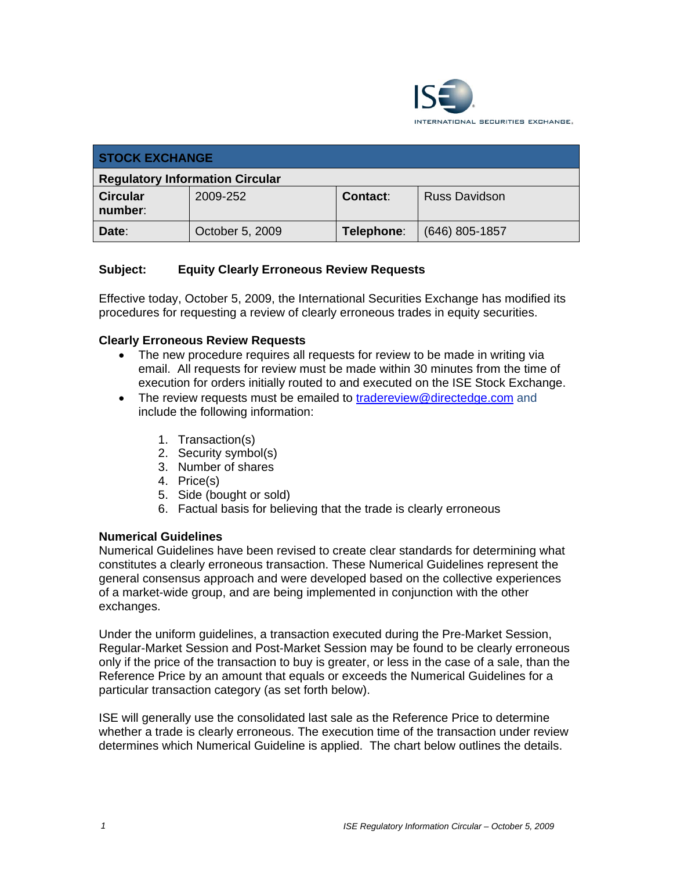

| <b>STOCK EXCHANGE</b>                  |                 |            |                      |  |
|----------------------------------------|-----------------|------------|----------------------|--|
| <b>Regulatory Information Circular</b> |                 |            |                      |  |
| <b>Circular</b><br>number:             | 2009-252        | Contact:   | <b>Russ Davidson</b> |  |
| Date:                                  | October 5, 2009 | Telephone: | (646) 805-1857       |  |

# **Subject: Equity Clearly Erroneous Review Requests**

Effective today, October 5, 2009, the International Securities Exchange has modified its procedures for requesting a review of clearly erroneous trades in equity securities.

## **Clearly Erroneous Review Requests**

- The new procedure requires all requests for review to be made in writing via email. All requests for review must be made within 30 minutes from the time of execution for orders initially routed to and executed on the ISE Stock Exchange.
- The review requests must be emailed to tradereview@directedge.com and include the following information:
	- 1. Transaction(s)
	- 2. Security symbol(s)
	- 3. Number of shares
	- 4. Price(s)
	- 5. Side (bought or sold)
	- 6. Factual basis for believing that the trade is clearly erroneous

## **Numerical Guidelines**

Numerical Guidelines have been revised to create clear standards for determining what constitutes a clearly erroneous transaction. These Numerical Guidelines represent the general consensus approach and were developed based on the collective experiences of a market-wide group, and are being implemented in conjunction with the other exchanges.

Under the uniform guidelines, a transaction executed during the Pre-Market Session, Regular-Market Session and Post-Market Session may be found to be clearly erroneous only if the price of the transaction to buy is greater, or less in the case of a sale, than the Reference Price by an amount that equals or exceeds the Numerical Guidelines for a particular transaction category (as set forth below).

ISE will generally use the consolidated last sale as the Reference Price to determine whether a trade is clearly erroneous. The execution time of the transaction under review determines which Numerical Guideline is applied. The chart below outlines the details.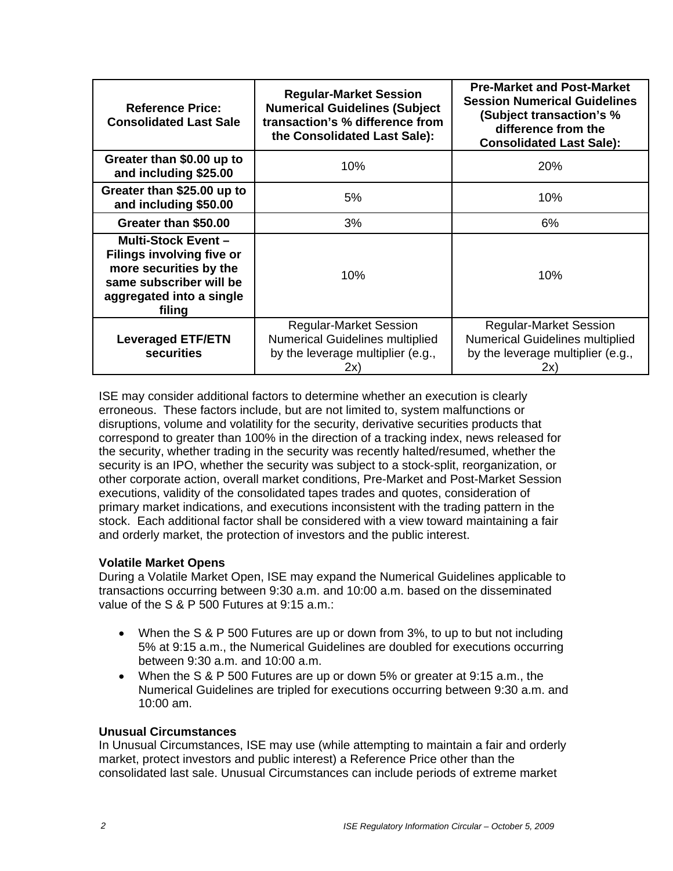| <b>Reference Price:</b><br><b>Consolidated Last Sale</b>                                                                                                  | <b>Regular-Market Session</b><br><b>Numerical Guidelines (Subject</b><br>transaction's % difference from<br>the Consolidated Last Sale): | <b>Pre-Market and Post-Market</b><br><b>Session Numerical Guidelines</b><br>(Subject transaction's %<br>difference from the<br><b>Consolidated Last Sale):</b> |
|-----------------------------------------------------------------------------------------------------------------------------------------------------------|------------------------------------------------------------------------------------------------------------------------------------------|----------------------------------------------------------------------------------------------------------------------------------------------------------------|
| Greater than \$0.00 up to<br>and including \$25.00                                                                                                        | 10%                                                                                                                                      | <b>20%</b>                                                                                                                                                     |
| Greater than \$25.00 up to<br>and including \$50.00                                                                                                       | 5%                                                                                                                                       | 10%                                                                                                                                                            |
| Greater than \$50.00                                                                                                                                      | 3%                                                                                                                                       | 6%                                                                                                                                                             |
| <b>Multi-Stock Event -</b><br><b>Filings involving five or</b><br>more securities by the<br>same subscriber will be<br>aggregated into a single<br>filing | 10%                                                                                                                                      | 10%                                                                                                                                                            |
| <b>Leveraged ETF/ETN</b><br><b>securities</b>                                                                                                             | <b>Regular-Market Session</b><br><b>Numerical Guidelines multiplied</b><br>by the leverage multiplier (e.g.,<br>2x`                      | <b>Regular-Market Session</b><br><b>Numerical Guidelines multiplied</b><br>by the leverage multiplier (e.g.,<br>2x'                                            |

ISE may consider additional factors to determine whether an execution is clearly erroneous. These factors include, but are not limited to, system malfunctions or disruptions, volume and volatility for the security, derivative securities products that correspond to greater than 100% in the direction of a tracking index, news released for the security, whether trading in the security was recently halted/resumed, whether the security is an IPO, whether the security was subject to a stock-split, reorganization, or other corporate action, overall market conditions, Pre-Market and Post-Market Session executions, validity of the consolidated tapes trades and quotes, consideration of primary market indications, and executions inconsistent with the trading pattern in the stock. Each additional factor shall be considered with a view toward maintaining a fair and orderly market, the protection of investors and the public interest.

## **Volatile Market Opens**

During a Volatile Market Open, ISE may expand the Numerical Guidelines applicable to transactions occurring between 9:30 a.m. and 10:00 a.m. based on the disseminated value of the S & P 500 Futures at 9:15 a.m.:

- When the S & P 500 Futures are up or down from 3%, to up to but not including 5% at 9:15 a.m., the Numerical Guidelines are doubled for executions occurring between 9:30 a.m. and 10:00 a.m.
- When the S & P 500 Futures are up or down 5% or greater at 9:15 a.m., the Numerical Guidelines are tripled for executions occurring between 9:30 a.m. and 10:00 am.

## **Unusual Circumstances**

In Unusual Circumstances, ISE may use (while attempting to maintain a fair and orderly market, protect investors and public interest) a Reference Price other than the consolidated last sale. Unusual Circumstances can include periods of extreme market